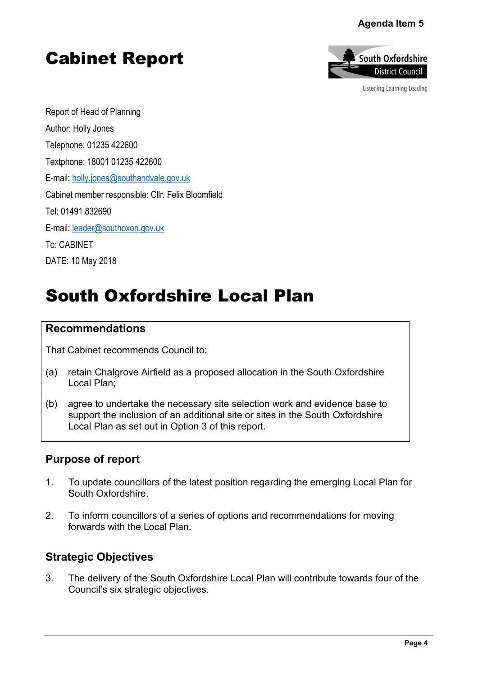## Agenda Item 5

# Cabinet Report



Listening Learning Leading

Report of Head of Planning Author: Holly Jones Telephone: 01235 422600 Textphone: 18001 01235 422600 E-mail: [holly.jones@southandvale.gov.uk](mailto:holly.jones@southandvale.gov.uk) Cabinet member responsible: Cllr. Felix Bloomfield Tel: 01491 832690 E-mail: [leader@southoxon.gov.uk](mailto:leader@southoxon.gov.uk) To: CABINET DATE: 10 May 2018

# South Oxfordshire Local Plan

## **Recommendations**

That Cabinet recommends Council to:

- (a) retain Chalgrove Airfield as a proposed allocation in the South Oxfordshire Local Plan;
- (b) agree to undertake the necessary site selection work and evidence base to support the inclusion of an additional site or sites in the South Oxfordshire Local Plan as set out in Option 3 of this report.

## **Purpose of report**

- 1. To update councillors of the latest position regarding the emerging Local Plan for South Oxfordshire.
- 2. To inform councillors of a series of options and recommendations for moving forwards with the Local Plan.

## **Strategic Objectives**

3. The delivery of the South Oxfordshire Local Plan will contribute towards four of the Council's six strategic objectives.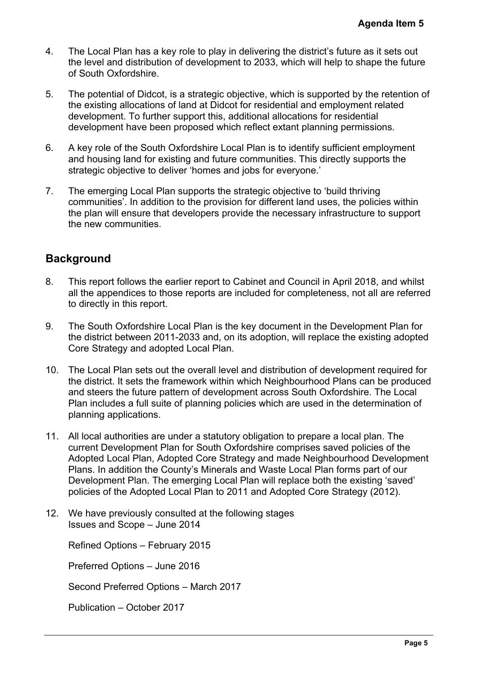- 4. The Local Plan has a key role to play in delivering the district's future as it sets out the level and distribution of development to 2033, which will help to shape the future of South Oxfordshire.
- 5. The potential of Didcot, is a strategic objective, which is supported by the retention of the existing allocations of land at Didcot for residential and employment related development. To further support this, additional allocations for residential development have been proposed which reflect extant planning permissions.
- 6. A key role of the South Oxfordshire Local Plan is to identify sufficient employment and housing land for existing and future communities. This directly supports the strategic objective to deliver 'homes and jobs for everyone.'
- 7. The emerging Local Plan supports the strategic objective to 'build thriving communities'. In addition to the provision for different land uses, the policies within the plan will ensure that developers provide the necessary infrastructure to support the new communities.

## **Background**

- 8. This report follows the earlier report to Cabinet and Council in April 2018, and whilst all the appendices to those reports are included for completeness, not all are referred to directly in this report.
- 9. The South Oxfordshire Local Plan is the key document in the Development Plan for the district between 2011-2033 and, on its adoption, will replace the existing adopted Core Strategy and adopted Local Plan.
- 10. The Local Plan sets out the overall level and distribution of development required for the district. It sets the framework within which Neighbourhood Plans can be produced and steers the future pattern of development across South Oxfordshire. The Local Plan includes a full suite of planning policies which are used in the determination of planning applications.
- 11. All local authorities are under a statutory obligation to prepare a local plan. The current Development Plan for South Oxfordshire comprises saved policies of the Adopted Local Plan, Adopted Core Strategy and made Neighbourhood Development Plans. In addition the County's Minerals and Waste Local Plan forms part of our Development Plan. The emerging Local Plan will replace both the existing 'saved' policies of the Adopted Local Plan to 2011 and Adopted Core Strategy (2012). Agenda Item 5<br>
e as it sets out<br>
shape the future<br>
y the retention o<br>
ent related<br>
ential<br>
missions.<br>
t employment<br>
upports the<br>
riving<br>
policies within<br>
ture to support<br>
2018, and whilst<br>
ot all are referred<br>
component Pl
- 12. We have previously consulted at the following stages Issues and Scope – June 2014

Refined Options – February 2015

Preferred Options – June 2016

Second Preferred Options – March 2017

Publication – October 2017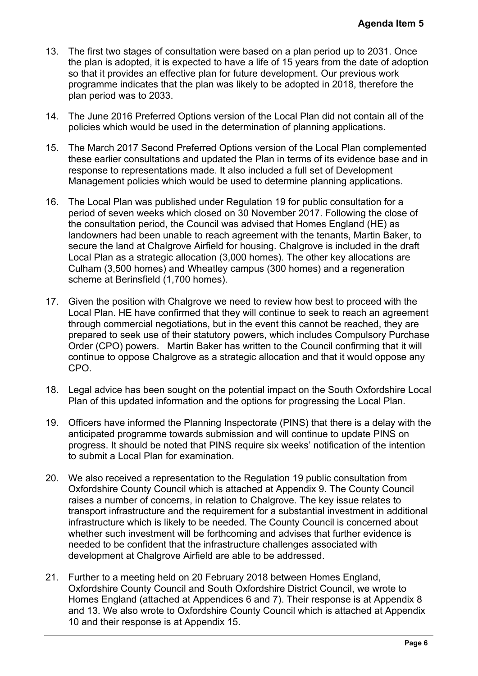- 13. The first two stages of consultation were based on a plan period up to 2031. Once the plan is adopted, it is expected to have a life of 15 years from the date of adoption so that it provides an effective plan for future development. Our previous work programme indicates that the plan was likely to be adopted in 2018, therefore the plan period was to 2033.
- 14. The June 2016 Preferred Options version of the Local Plan did not contain all of the policies which would be used in the determination of planning applications.
- 15. The March 2017 Second Preferred Options version of the Local Plan complemented these earlier consultations and updated the Plan in terms of its evidence base and in response to representations made. It also included a full set of Development Management policies which would be used to determine planning applications.
- 16. The Local Plan was published under Regulation 19 for public consultation for a period of seven weeks which closed on 30 November 2017. Following the close of the consultation period, the Council was advised that Homes England (HE) as landowners had been unable to reach agreement with the tenants, Martin Baker, to secure the land at Chalgrove Airfield for housing. Chalgrove is included in the draft Local Plan as a strategic allocation (3,000 homes). The other key allocations are Culham (3,500 homes) and Wheatley campus (300 homes) and a regeneration scheme at Berinsfield (1,700 homes).
- 17. Given the position with Chalgrove we need to review how best to proceed with the Local Plan. HE have confirmed that they will continue to seek to reach an agreement through commercial negotiations, but in the event this cannot be reached, they are prepared to seek use of their statutory powers, which includes Compulsory Purchase Order (CPO) powers. Martin Baker has written to the Council confirming that it will continue to oppose Chalgrove as a strategic allocation and that it would oppose any CPO.
- 18. Legal advice has been sought on the potential impact on the South Oxfordshire Local Plan of this updated information and the options for progressing the Local Plan.
- 19. Officers have informed the Planning Inspectorate (PINS) that there is a delay with the anticipated programme towards submission and will continue to update PINS on progress. It should be noted that PINS require six weeks' notification of the intention to submit a Local Plan for examination.
- 20. We also received a representation to the Regulation 19 public consultation from Oxfordshire County Council which is attached at Appendix 9. The County Council raises a number of concerns, in relation to Chalgrove. The key issue relates to transport infrastructure and the requirement for a substantial investment in additional infrastructure which is likely to be needed. The County Council is concerned about whether such investment will be forthcoming and advises that further evidence is needed to be confident that the infrastructure challenges associated with development at Chalgrove Airfield are able to be addressed. **Agenda Item 5**<br>to 2031. Once<br>date of adoption<br>ious work<br>therefore the<br>contain all of the<br>ations.<br>a complemented<br>ance base and in<br>lopment<br>plications.<br>tation for a<br>ng the close of d(HE) as<br>*Aartin Baker, to*<br>ded in the draf
- 21. Further to a meeting held on 20 February 2018 between Homes England, Oxfordshire County Council and South Oxfordshire District Council, we wrote to Homes England (attached at Appendices 6 and 7). Their response is at Appendix 8 and 13. We also wrote to Oxfordshire County Council which is attached at Appendix 10 and their response is at Appendix 15.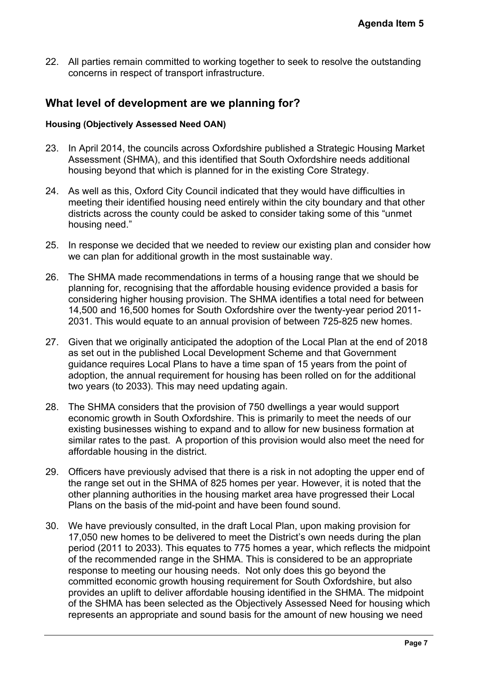22. All parties remain committed to working together to seek to resolve the outstanding concerns in respect of transport infrastructure.

## **What level of development are we planning for?**

#### **Housing (Objectively Assessed Need OAN)**

- 23. In April 2014, the councils across Oxfordshire published a Strategic Housing Market Assessment (SHMA), and this identified that South Oxfordshire needs additional housing beyond that which is planned for in the existing Core Strategy.
- 24. As well as this, Oxford City Council indicated that they would have difficulties in meeting their identified housing need entirely within the city boundary and that other districts across the county could be asked to consider taking some of this "unmet housing need."
- 25. In response we decided that we needed to review our existing plan and consider how we can plan for additional growth in the most sustainable way.
- 26. The SHMA made recommendations in terms of a housing range that we should be planning for, recognising that the affordable housing evidence provided a basis for considering higher housing provision. The SHMA identifies a total need for between 14,500 and 16,500 homes for South Oxfordshire over the twenty-year period 2011- 2031. This would equate to an annual provision of between 725-825 new homes.
- 27. Given that we originally anticipated the adoption of the Local Plan at the end of 2018 as set out in the published Local Development Scheme and that Government guidance requires Local Plans to have a time span of 15 years from the point of adoption, the annual requirement for housing has been rolled on for the additional two years (to 2033). This may need updating again.
- 28. The SHMA considers that the provision of 750 dwellings a year would support economic growth in South Oxfordshire. This is primarily to meet the needs of our existing businesses wishing to expand and to allow for new business formation at similar rates to the past. A proportion of this provision would also meet the need for affordable housing in the district.
- 29. Officers have previously advised that there is a risk in not adopting the upper end of the range set out in the SHMA of 825 homes per year. However, it is noted that the other planning authorities in the housing market area have progressed their Local Plans on the basis of the mid-point and have been found sound.
- 30. We have previously consulted, in the draft Local Plan, upon making provision for 17,050 new homes to be delivered to meet the District's own needs during the plan period (2011 to 2033). This equates to 775 homes a year, which reflects the midpoint of the recommended range in the SHMA. This is considered to be an appropriate response to meeting our housing needs. Not only does this go beyond the committed economic growth housing requirement for South Oxfordshire, but also provides an uplift to deliver affordable housing identified in the SHMA. The midpoint of the SHMA has been selected as the Objectively Assessed Need for housing which represents an appropriate and sound basis for the amount of new housing we need Agenda Item 5<br>
he outstanding<br>
the outstanding<br>
She outstanding<br>
She additional<br>
She additional<br>
Page 7<br>
ifficulties in<br>
y and that other<br>
f this "unmet<br>
and consider how<br>
twe should be<br>
led a basis for<br>
eed of 2018<br>
verme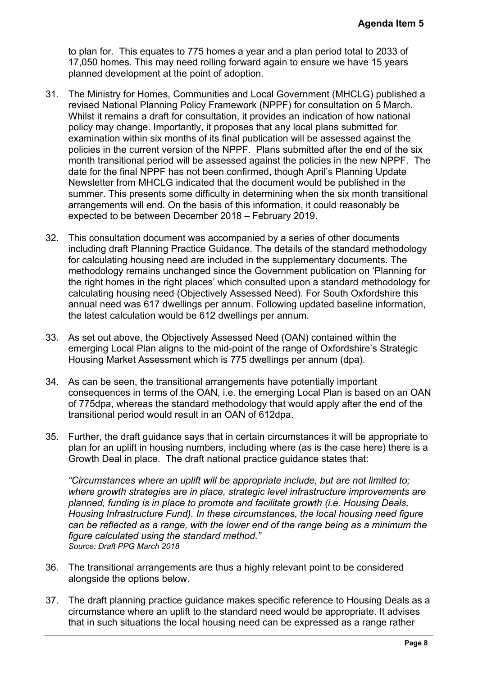to plan for. This equates to 775 homes a year and a plan period total to 2033 of 17,050 homes. This may need rolling forward again to ensure we have 15 years planned development at the point of adoption.

- 31. The Ministry for Homes, Communities and Local Government (MHCLG) published a revised National Planning Policy Framework (NPPF) for consultation on 5 March. Whilst it remains a draft for consultation, it provides an indication of how national policy may change. Importantly, it proposes that any local plans submitted for examination within six months of its final publication will be assessed against the policies in the current version of the NPPF. Plans submitted after the end of the six month transitional period will be assessed against the policies in the new NPPF. The date for the final NPPF has not been confirmed, though April's Planning Update Newsletter from MHCLG indicated that the document would be published in the summer. This presents some difficulty in determining when the six month transitional arrangements will end. On the basis of this information, it could reasonably be expected to be between December 2018 – February 2019. **Agenda Item 5**<br>al to 2033 of<br>we 15 years<br>LG) published a<br>non 5 March.<br>how national<br>mitted for<br>against the eend of the six<br>new NPPF. The<br>ining Update<br>ished in the<br>onnth transitional<br>onably be<br>ocuments<br>are internal methodol
- 32. This consultation document was accompanied by a series of other documents including draft Planning Practice Guidance. The details of the standard methodology for calculating housing need are included in the supplementary documents. The methodology remains unchanged since the Government publication on 'Planning for the right homes in the right places' which consulted upon a standard methodology for calculating housing need (Objectively Assessed Need). For South Oxfordshire this annual need was 617 dwellings per annum. Following updated baseline information, the latest calculation would be 612 dwellings per annum.
- 33. As set out above, the Objectively Assessed Need (OAN) contained within the emerging Local Plan aligns to the mid-point of the range of Oxfordshire's Strategic Housing Market Assessment which is 775 dwellings per annum (dpa).
- 34. As can be seen, the transitional arrangements have potentially important consequences in terms of the OAN, i.e. the emerging Local Plan is based on an OAN of 775dpa, whereas the standard methodology that would apply after the end of the transitional period would result in an OAN of 612dpa.
- 35. Further, the draft guidance says that in certain circumstances it will be appropriate to plan for an uplift in housing numbers, including where (as is the case here) there is a Growth Deal in place. The draft national practice guidance states that:

*"Circumstances where an uplift will be appropriate include, but are not limited to; where growth strategies are in place, strategic level infrastructure improvements are planned, funding is in place to promote and facilitate growth (i.e. Housing Deals, Housing Infrastructure Fund). In these circumstances, the local housing need figure can be reflected as a range, with the lower end of the range being as a minimum the figure calculated using the standard method." Source: Draft PPG March 2018*

- 36. The transitional arrangements are thus a highly relevant point to be considered alongside the options below.
- 37. The draft planning practice guidance makes specific reference to Housing Deals as a circumstance where an uplift to the standard need would be appropriate. It advises that in such situations the local housing need can be expressed as a range rather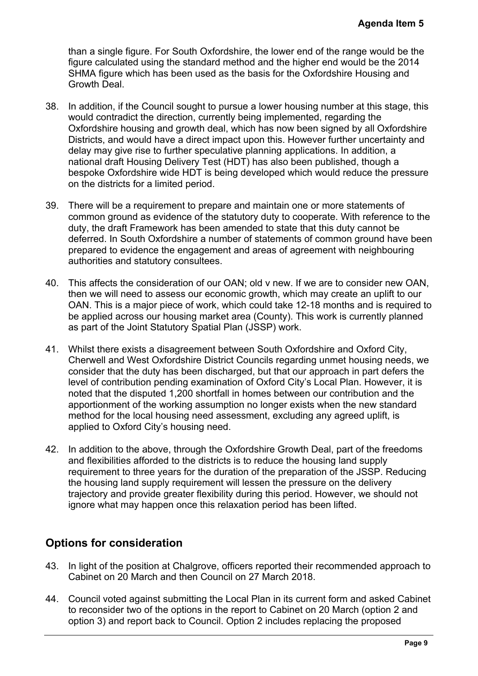than a single figure. For South Oxfordshire, the lower end of the range would be the figure calculated using the standard method and the higher end would be the 2014 SHMA figure which has been used as the basis for the Oxfordshire Housing and Growth Deal.

- 38. In addition, if the Council sought to pursue a lower housing number at this stage, this would contradict the direction, currently being implemented, regarding the Oxfordshire housing and growth deal, which has now been signed by all Oxfordshire Districts, and would have a direct impact upon this. However further uncertainty and delay may give rise to further speculative planning applications. In addition, a national draft Housing Delivery Test (HDT) has also been published, though a bespoke Oxfordshire wide HDT is being developed which would reduce the pressure on the districts for a limited period. **Agenda Item 5**<br>ge would be the 2014<br>Housing and<br>at this stage, this<br>ig the<br>wear all Oxfordshire<br>uncertainty and<br>ddition, a<br>though a<br>the pressure<br>terments of<br>action and the pressure<br>terments of<br>promable pressure<br>are termed
- 39. There will be a requirement to prepare and maintain one or more statements of common ground as evidence of the statutory duty to cooperate. With reference to the duty, the draft Framework has been amended to state that this duty cannot be deferred. In South Oxfordshire a number of statements of common ground have been prepared to evidence the engagement and areas of agreement with neighbouring authorities and statutory consultees.
- 40. This affects the consideration of our OAN; old v new. If we are to consider new OAN, then we will need to assess our economic growth, which may create an uplift to our OAN. This is a major piece of work, which could take 12-18 months and is required to be applied across our housing market area (County). This work is currently planned as part of the Joint Statutory Spatial Plan (JSSP) work.
- 41. Whilst there exists a disagreement between South Oxfordshire and Oxford City, Cherwell and West Oxfordshire District Councils regarding unmet housing needs, we consider that the duty has been discharged, but that our approach in part defers the level of contribution pending examination of Oxford City's Local Plan. However, it is noted that the disputed 1,200 shortfall in homes between our contribution and the apportionment of the working assumption no longer exists when the new standard method for the local housing need assessment, excluding any agreed uplift, is applied to Oxford City's housing need.
- 42. In addition to the above, through the Oxfordshire Growth Deal, part of the freedoms and flexibilities afforded to the districts is to reduce the housing land supply requirement to three years for the duration of the preparation of the JSSP. Reducing the housing land supply requirement will lessen the pressure on the delivery trajectory and provide greater flexibility during this period. However, we should not ignore what may happen once this relaxation period has been lifted.

# **Options for consideration**

- 43. In light of the position at Chalgrove, officers reported their recommended approach to Cabinet on 20 March and then Council on 27 March 2018.
- 44. Council voted against submitting the Local Plan in its current form and asked Cabinet to reconsider two of the options in the report to Cabinet on 20 March (option 2 and option 3) and report back to Council. Option 2 includes replacing the proposed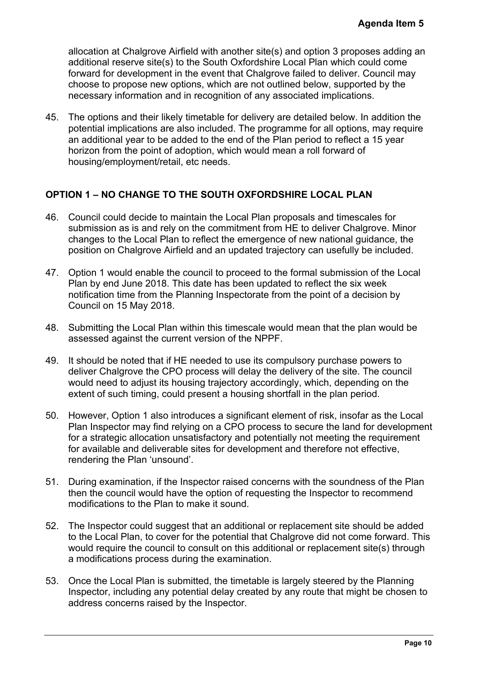allocation at Chalgrove Airfield with another site(s) and option 3 proposes adding an additional reserve site(s) to the South Oxfordshire Local Plan which could come forward for development in the event that Chalgrove failed to deliver. Council may choose to propose new options, which are not outlined below, supported by the necessary information and in recognition of any associated implications.

45. The options and their likely timetable for delivery are detailed below. In addition the potential implications are also included. The programme for all options, may require an additional year to be added to the end of the Plan period to reflect a 15 year horizon from the point of adoption, which would mean a roll forward of housing/employment/retail, etc needs.

### **OPTION 1 – NO CHANGE TO THE SOUTH OXFORDSHIRE LOCAL PLAN**

- 46. Council could decide to maintain the Local Plan proposals and timescales for submission as is and rely on the commitment from HE to deliver Chalgrove. Minor changes to the Local Plan to reflect the emergence of new national guidance, the position on Chalgrove Airfield and an updated trajectory can usefully be included.
- 47. Option 1 would enable the council to proceed to the formal submission of the Local Plan by end June 2018. This date has been updated to reflect the six week notification time from the Planning Inspectorate from the point of a decision by Council on 15 May 2018.
- 48. Submitting the Local Plan within this timescale would mean that the plan would be assessed against the current version of the NPPF.
- 49. It should be noted that if HE needed to use its compulsory purchase powers to deliver Chalgrove the CPO process will delay the delivery of the site. The council would need to adjust its housing trajectory accordingly, which, depending on the extent of such timing, could present a housing shortfall in the plan period.
- 50. However, Option 1 also introduces a significant element of risk, insofar as the Local Plan Inspector may find relying on a CPO process to secure the land for development for a strategic allocation unsatisfactory and potentially not meeting the requirement for available and deliverable sites for development and therefore not effective, rendering the Plan 'unsound'. **Agenda Item 5**<br>
poses adding an<br>
could come<br>
. Council may<br>
orted by the<br>
ons.<br>
In addition the<br>
ns, may require<br>
t a 15 year<br>
of<br> **AN**<br>
scales for<br> **AN**<br>
scales for<br>
algrove. Minor<br>
puidance, the<br>
be included.<br>
on of the
- 51. During examination, if the Inspector raised concerns with the soundness of the Plan then the council would have the option of requesting the Inspector to recommend modifications to the Plan to make it sound.
- 52. The Inspector could suggest that an additional or replacement site should be added to the Local Plan, to cover for the potential that Chalgrove did not come forward. This would require the council to consult on this additional or replacement site(s) through a modifications process during the examination.
- 53. Once the Local Plan is submitted, the timetable is largely steered by the Planning Inspector, including any potential delay created by any route that might be chosen to address concerns raised by the Inspector.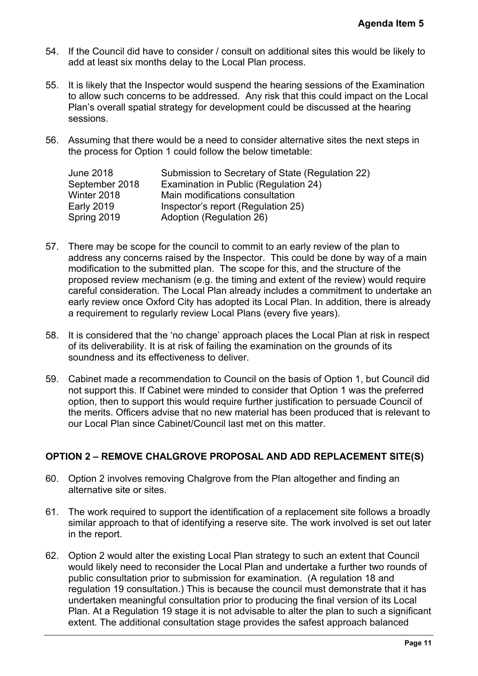- 54. If the Council did have to consider / consult on additional sites this would be likely to add at least six months delay to the Local Plan process.
- 55. It is likely that the Inspector would suspend the hearing sessions of the Examination to allow such concerns to be addressed. Any risk that this could impact on the Local Plan's overall spatial strategy for development could be discussed at the hearing sessions.
- 56. Assuming that there would be a need to consider alternative sites the next steps in the process for Option 1 could follow the below timetable:

| Submission to Secretary of State (Regulation 22) |
|--------------------------------------------------|
| Examination in Public (Regulation 24)            |
| Main modifications consultation                  |
| Inspector's report (Regulation 25)               |
| Adoption (Regulation 26)                         |
|                                                  |

- 57. There may be scope for the council to commit to an early review of the plan to address any concerns raised by the Inspector. This could be done by way of a main modification to the submitted plan. The scope for this, and the structure of the proposed review mechanism (e.g. the timing and extent of the review) would require careful consideration. The Local Plan already includes a commitment to undertake an early review once Oxford City has adopted its Local Plan. In addition, there is already a requirement to regularly review Local Plans (every five years). **Agenda Item 5**<br> **Pould be likely to**<br>
the Examination<br>
and the hearing<br>
e next steps in<br>
22)<br>
22)<br>
22)<br>
Pould require<br>
the plan to<br>
by way of a main<br>
ture of the<br>
w) would require<br>
to undertake an<br>
ture is already<br>
at ris
- 58. It is considered that the 'no change' approach places the Local Plan at risk in respect of its deliverability. It is at risk of failing the examination on the grounds of its soundness and its effectiveness to deliver.
- 59. Cabinet made a recommendation to Council on the basis of Option 1, but Council did not support this. If Cabinet were minded to consider that Option 1 was the preferred option, then to support this would require further justification to persuade Council of the merits. Officers advise that no new material has been produced that is relevant to our Local Plan since Cabinet/Council last met on this matter.

## **OPTION 2 – REMOVE CHALGROVE PROPOSAL AND ADD REPLACEMENT SITE(S)**

- 60. Option 2 involves removing Chalgrove from the Plan altogether and finding an alternative site or sites.
- 61. The work required to support the identification of a replacement site follows a broadly similar approach to that of identifying a reserve site. The work involved is set out later in the report.
- 62. Option 2 would alter the existing Local Plan strategy to such an extent that Council would likely need to reconsider the Local Plan and undertake a further two rounds of public consultation prior to submission for examination. (A regulation 18 and regulation 19 consultation.) This is because the council must demonstrate that it has undertaken meaningful consultation prior to producing the final version of its Local Plan. At a Regulation 19 stage it is not advisable to alter the plan to such a significant extent. The additional consultation stage provides the safest approach balanced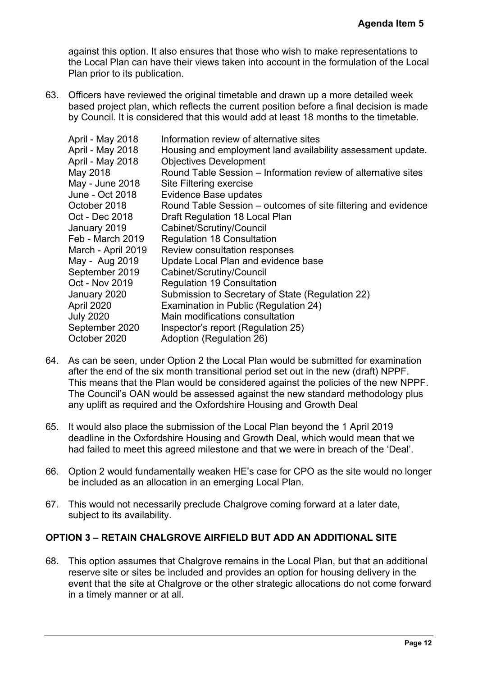63. Officers have reviewed the original timetable and drawn up a more detailed week based project plan, which reflects the current position before a final decision is made by Council. It is considered that this would add at least 18 months to the timetable.

|                                                                                                                                                                                                                                                                                                                                                  | <b>Agenda Item 5</b>                                                                                                                                                                                                                                                                                                                                                                                                                                                                                                                                                                                                                                                                                                                                                        |
|--------------------------------------------------------------------------------------------------------------------------------------------------------------------------------------------------------------------------------------------------------------------------------------------------------------------------------------------------|-----------------------------------------------------------------------------------------------------------------------------------------------------------------------------------------------------------------------------------------------------------------------------------------------------------------------------------------------------------------------------------------------------------------------------------------------------------------------------------------------------------------------------------------------------------------------------------------------------------------------------------------------------------------------------------------------------------------------------------------------------------------------------|
| Plan prior to its publication.                                                                                                                                                                                                                                                                                                                   | against this option. It also ensures that those who wish to make representations to<br>the Local Plan can have their views taken into account in the formulation of the Local                                                                                                                                                                                                                                                                                                                                                                                                                                                                                                                                                                                               |
|                                                                                                                                                                                                                                                                                                                                                  | Officers have reviewed the original timetable and drawn up a more detailed week<br>based project plan, which reflects the current position before a final decision is made<br>by Council. It is considered that this would add at least 18 months to the timetable.                                                                                                                                                                                                                                                                                                                                                                                                                                                                                                         |
| April - May 2018<br>April - May 2018<br>April - May 2018<br>May 2018<br>May - June 2018<br>June - Oct 2018<br>October 2018<br>Oct - Dec 2018<br>January 2019<br>Feb - March 2019<br>March - April 2019<br>May - Aug 2019<br>September 2019<br>Oct - Nov 2019<br>January 2020<br>April 2020<br><b>July 2020</b><br>September 2020<br>October 2020 | Information review of alternative sites<br>Housing and employment land availability assessment update.<br><b>Objectives Development</b><br>Round Table Session – Information review of alternative sites<br>Site Filtering exercise<br>Evidence Base updates<br>Round Table Session – outcomes of site filtering and evidence<br>Draft Regulation 18 Local Plan<br>Cabinet/Scrutiny/Council<br><b>Regulation 18 Consultation</b><br>Review consultation responses<br>Update Local Plan and evidence base<br>Cabinet/Scrutiny/Council<br><b>Regulation 19 Consultation</b><br>Submission to Secretary of State (Regulation 22)<br>Examination in Public (Regulation 24)<br>Main modifications consultation<br>Inspector's report (Regulation 25)<br>Adoption (Regulation 26) |
|                                                                                                                                                                                                                                                                                                                                                  | As can be seen, under Option 2 the Local Plan would be submitted for examination<br>after the end of the six month transitional period set out in the new (draft) NPPF.<br>This means that the Plan would be considered against the policies of the new NPPF.<br>The Council's OAN would be assessed against the new standard methodology plus<br>any uplift as required and the Oxfordshire Housing and Growth Deal                                                                                                                                                                                                                                                                                                                                                        |
|                                                                                                                                                                                                                                                                                                                                                  | It would also place the submission of the Local Plan beyond the 1 April 2019<br>deadline in the Oxfordshire Housing and Growth Deal, which would mean that we<br>had failed to meet this agreed milestone and that we were in breach of the 'Deal'.                                                                                                                                                                                                                                                                                                                                                                                                                                                                                                                         |
|                                                                                                                                                                                                                                                                                                                                                  | Option 2 would fundamentally weaken HE's case for CPO as the site would no longer<br>be included as an allocation in an emerging Local Plan.                                                                                                                                                                                                                                                                                                                                                                                                                                                                                                                                                                                                                                |
| subject to its availability.                                                                                                                                                                                                                                                                                                                     | This would not necessarily preclude Chalgrove coming forward at a later date,                                                                                                                                                                                                                                                                                                                                                                                                                                                                                                                                                                                                                                                                                               |
|                                                                                                                                                                                                                                                                                                                                                  | ON 3 – RETAIN CHALGROVE AIRFIELD BUT ADD AN ADDITIONAL SITE                                                                                                                                                                                                                                                                                                                                                                                                                                                                                                                                                                                                                                                                                                                 |
| in a timely manner or at all.                                                                                                                                                                                                                                                                                                                    | This option assumes that Chalgrove remains in the Local Plan, but that an additional<br>reserve site or sites be included and provides an option for housing delivery in the<br>event that the site at Chalgrove or the other strategic allocations do not come forward                                                                                                                                                                                                                                                                                                                                                                                                                                                                                                     |
|                                                                                                                                                                                                                                                                                                                                                  |                                                                                                                                                                                                                                                                                                                                                                                                                                                                                                                                                                                                                                                                                                                                                                             |
|                                                                                                                                                                                                                                                                                                                                                  | Page 12                                                                                                                                                                                                                                                                                                                                                                                                                                                                                                                                                                                                                                                                                                                                                                     |

- 64. As can be seen, under Option 2 the Local Plan would be submitted for examination after the end of the six month transitional period set out in the new (draft) NPPF. This means that the Plan would be considered against the policies of the new NPPF. The Council's OAN would be assessed against the new standard methodology plus any uplift as required and the Oxfordshire Housing and Growth Deal
- 65. It would also place the submission of the Local Plan beyond the 1 April 2019 deadline in the Oxfordshire Housing and Growth Deal, which would mean that we had failed to meet this agreed milestone and that we were in breach of the 'Deal'.
- 66. Option 2 would fundamentally weaken HE's case for CPO as the site would no longer be included as an allocation in an emerging Local Plan.
- 67. This would not necessarily preclude Chalgrove coming forward at a later date, subject to its availability.

#### **OPTION 3 – RETAIN CHALGROVE AIRFIELD BUT ADD AN ADDITIONAL SITE**

68. This option assumes that Chalgrove remains in the Local Plan, but that an additional reserve site or sites be included and provides an option for housing delivery in the event that the site at Chalgrove or the other strategic allocations do not come forward in a timely manner or at all.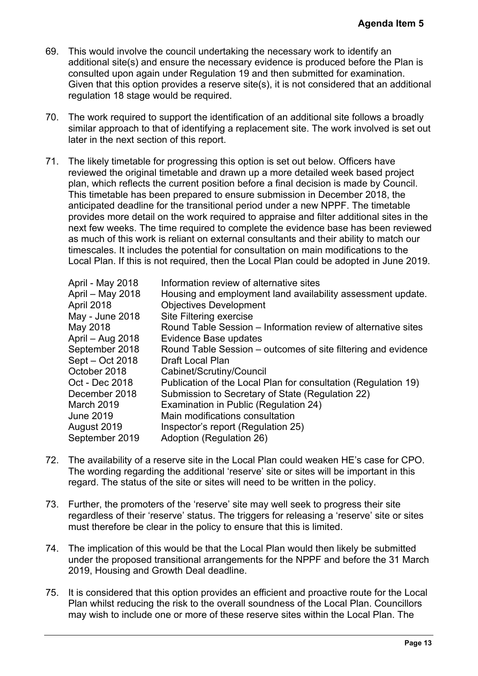- 69. This would involve the council undertaking the necessary work to identify an additional site(s) and ensure the necessary evidence is produced before the Plan is consulted upon again under Regulation 19 and then submitted for examination. Given that this option provides a reserve site(s), it is not considered that an additional regulation 18 stage would be required.
- 70. The work required to support the identification of an additional site follows a broadly similar approach to that of identifying a replacement site. The work involved is set out later in the next section of this report.
- 71. The likely timetable for progressing this option is set out below. Officers have reviewed the original timetable and drawn up a more detailed week based project plan, which reflects the current position before a final decision is made by Council. This timetable has been prepared to ensure submission in December 2018, the anticipated deadline for the transitional period under a new NPPF. The timetable provides more detail on the work required to appraise and filter additional sites in the next few weeks. The time required to complete the evidence base has been reviewed as much of this work is reliant on external consultants and their ability to match our timescales. It includes the potential for consultation on main modifications to the Local Plan. If this is not required, then the Local Plan could be adopted in June 2019.

| <b>Agenda Item 5</b>                                                                                                                                                                                                                                                                                                                                                                                                                                                                                                                                                                                                                                                                                                                                                                                                                                                                         |
|----------------------------------------------------------------------------------------------------------------------------------------------------------------------------------------------------------------------------------------------------------------------------------------------------------------------------------------------------------------------------------------------------------------------------------------------------------------------------------------------------------------------------------------------------------------------------------------------------------------------------------------------------------------------------------------------------------------------------------------------------------------------------------------------------------------------------------------------------------------------------------------------|
| This would involve the council undertaking the necessary work to identify an<br>additional site(s) and ensure the necessary evidence is produced before the Plan is<br>consulted upon again under Regulation 19 and then submitted for examination.<br>Given that this option provides a reserve site(s), it is not considered that an additional<br>regulation 18 stage would be required.                                                                                                                                                                                                                                                                                                                                                                                                                                                                                                  |
| The work required to support the identification of an additional site follows a broadly<br>similar approach to that of identifying a replacement site. The work involved is set out<br>later in the next section of this report.                                                                                                                                                                                                                                                                                                                                                                                                                                                                                                                                                                                                                                                             |
| The likely timetable for progressing this option is set out below. Officers have<br>reviewed the original timetable and drawn up a more detailed week based project<br>plan, which reflects the current position before a final decision is made by Council.<br>This timetable has been prepared to ensure submission in December 2018, the<br>anticipated deadline for the transitional period under a new NPPF. The timetable<br>provides more detail on the work required to appraise and filter additional sites in the<br>next few weeks. The time required to complete the evidence base has been reviewed<br>as much of this work is reliant on external consultants and their ability to match our<br>timescales. It includes the potential for consultation on main modifications to the<br>Local Plan. If this is not required, then the Local Plan could be adopted in June 2019. |
| April - May 2018<br>Information review of alternative sites<br>April - May 2018<br>Housing and employment land availability assessment update.<br>April 2018<br><b>Objectives Development</b><br>May - June 2018<br>Site Filtering exercise<br>Round Table Session – Information review of alternative sites<br>May 2018<br>April – Aug 2018<br>Evidence Base updates<br>September 2018<br>Round Table Session – outcomes of site filtering and evidence<br>Sept - Oct 2018<br>Draft Local Plan<br>October 2018<br>Cabinet/Scrutiny/Council<br>Oct - Dec 2018<br>Publication of the Local Plan for consultation (Regulation 19)<br>Submission to Secretary of State (Regulation 22)<br>December 2018<br>March 2019<br>Examination in Public (Regulation 24)<br>Main modifications consultation<br>June 2019<br>August 2019<br>Inspector's report (Regulation 25)                             |
| September 2019<br>Adoption (Regulation 26)<br>The availability of a reserve site in the Local Plan could weaken HE's case for CPO.<br>The wording regarding the additional 'reserve' site or sites will be important in this<br>regard. The status of the site or sites will need to be written in the policy.                                                                                                                                                                                                                                                                                                                                                                                                                                                                                                                                                                               |
| Further, the promoters of the 'reserve' site may well seek to progress their site<br>regardless of their 'reserve' status. The triggers for releasing a 'reserve' site or sites<br>must therefore be clear in the policy to ensure that this is limited.                                                                                                                                                                                                                                                                                                                                                                                                                                                                                                                                                                                                                                     |
| The implication of this would be that the Local Plan would then likely be submitted<br>under the proposed transitional arrangements for the NPPF and before the 31 March<br>2019, Housing and Growth Deal deadline.                                                                                                                                                                                                                                                                                                                                                                                                                                                                                                                                                                                                                                                                          |
| It is considered that this option provides an efficient and proactive route for the Local<br>Plan whilst reducing the risk to the overall soundness of the Local Plan. Councillors<br>may wish to include one or more of these reserve sites within the Local Plan. The                                                                                                                                                                                                                                                                                                                                                                                                                                                                                                                                                                                                                      |
| Page 13                                                                                                                                                                                                                                                                                                                                                                                                                                                                                                                                                                                                                                                                                                                                                                                                                                                                                      |

- 72. The availability of a reserve site in the Local Plan could weaken HE's case for CPO. The wording regarding the additional 'reserve' site or sites will be important in this regard. The status of the site or sites will need to be written in the policy.
- 73. Further, the promoters of the 'reserve' site may well seek to progress their site regardless of their 'reserve' status. The triggers for releasing a 'reserve' site or sites must therefore be clear in the policy to ensure that this is limited.
- 74. The implication of this would be that the Local Plan would then likely be submitted under the proposed transitional arrangements for the NPPF and before the 31 March 2019, Housing and Growth Deal deadline.
- 75. It is considered that this option provides an efficient and proactive route for the Local Plan whilst reducing the risk to the overall soundness of the Local Plan. Councillors may wish to include one or more of these reserve sites within the Local Plan. The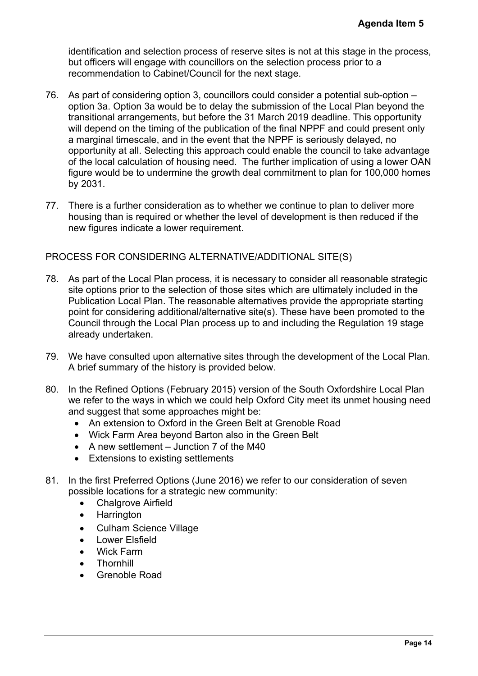identification and selection process of reserve sites is not at this stage in the process, but officers will engage with councillors on the selection process prior to a recommendation to Cabinet/Council for the next stage.

- 76. As part of considering option 3, councillors could consider a potential sub-option option 3a. Option 3a would be to delay the submission of the Local Plan beyond the transitional arrangements, but before the 31 March 2019 deadline. This opportunity will depend on the timing of the publication of the final NPPF and could present only a marginal timescale, and in the event that the NPPF is seriously delayed, no opportunity at all. Selecting this approach could enable the council to take advantage of the local calculation of housing need. The further implication of using a lower OAN figure would be to undermine the growth deal commitment to plan for 100,000 homes by 2031. Agenda Item 5<br>ge in the process,<br>pr to a<br>all sub-option –<br>Plan beyond the<br>his opportunity<br>layed, no<br>bight a diver of AN<br>is a diver OAN<br>r 100,000 homes<br>deliver more<br>reduced if the<br>sonable strategic<br>ncluded in the<br>sonable st
- 77. There is a further consideration as to whether we continue to plan to deliver more housing than is required or whether the level of development is then reduced if the new figures indicate a lower requirement.

PROCESS FOR CONSIDERING ALTERNATIVE/ADDITIONAL SITE(S)

- 78. As part of the Local Plan process, it is necessary to consider all reasonable strategic site options prior to the selection of those sites which are ultimately included in the Publication Local Plan. The reasonable alternatives provide the appropriate starting point for considering additional/alternative site(s). These have been promoted to the Council through the Local Plan process up to and including the Regulation 19 stage already undertaken.
- 79. We have consulted upon alternative sites through the development of the Local Plan. A brief summary of the history is provided below.
- 80. In the Refined Options (February 2015) version of the South Oxfordshire Local Plan we refer to the ways in which we could help Oxford City meet its unmet housing need and suggest that some approaches might be:
	- An extension to Oxford in the Green Belt at Grenoble Road
	- Wick Farm Area beyond Barton also in the Green Belt
	- $\bullet$  A new settlement Junction 7 of the M40
	- Extensions to existing settlements
- 81. In the first Preferred Options (June 2016) we refer to our consideration of seven possible locations for a strategic new community:
	- Chalgrove Airfield
	- Harrington
	- Culham Science Village
	- Lower Elsfield
	- Wick Farm
	- **Thornhill**
	- Grenoble Road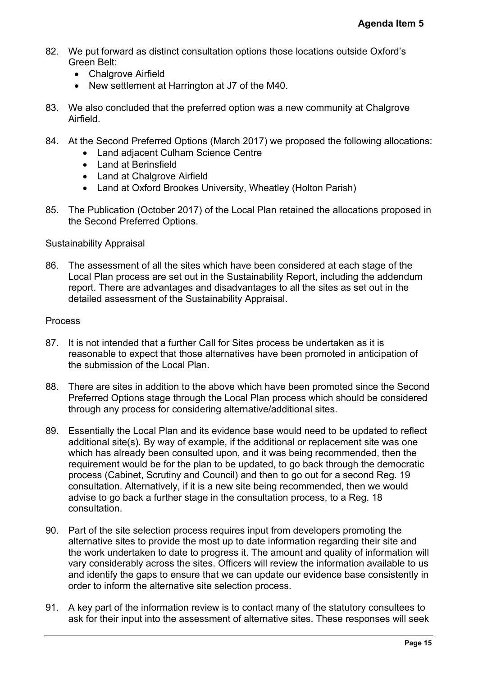- 82. We put forward as distinct consultation options those locations outside Oxford's Green Belt:
	- Chalgrove Airfield
	- New settlement at Harrington at J7 of the M40.
- 83. We also concluded that the preferred option was a new community at Chalgrove Airfield.
- 84. At the Second Preferred Options (March 2017) we proposed the following allocations:
	- Land adjacent Culham Science Centre
	- Land at Berinsfield
	- Land at Chalgrove Airfield
	- Land at Oxford Brookes University, Wheatley (Holton Parish)
- 85. The Publication (October 2017) of the Local Plan retained the allocations proposed in the Second Preferred Options.

#### Sustainability Appraisal

86. The assessment of all the sites which have been considered at each stage of the Local Plan process are set out in the Sustainability Report, including the addendum report. There are advantages and disadvantages to all the sites as set out in the detailed assessment of the Sustainability Appraisal.

#### Process

- 87. It is not intended that a further Call for Sites process be undertaken as it is reasonable to expect that those alternatives have been promoted in anticipation of the submission of the Local Plan.
- 88. There are sites in addition to the above which have been promoted since the Second Preferred Options stage through the Local Plan process which should be considered through any process for considering alternative/additional sites.
- 89. Essentially the Local Plan and its evidence base would need to be updated to reflect additional site(s). By way of example, if the additional or replacement site was one which has already been consulted upon, and it was being recommended, then the requirement would be for the plan to be updated, to go back through the democratic process (Cabinet, Scrutiny and Council) and then to go out for a second Reg. 19 consultation. Alternatively, if it is a new site being recommended, then we would advise to go back a further stage in the consultation process, to a Reg. 18 consultation. Agenda Item 5<br>de Oxford's<br>at Chalgrove<br>bowing allocations:<br>tions proposed in<br>ions proposed in<br>a stage of the<br>the addendum<br>et out in the<br>assement of the same of the considered<br>pdated to reflect<br>and be considered<br>pdated to r
- 90. Part of the site selection process requires input from developers promoting the alternative sites to provide the most up to date information regarding their site and the work undertaken to date to progress it. The amount and quality of information will vary considerably across the sites. Officers will review the information available to us and identify the gaps to ensure that we can update our evidence base consistently in order to inform the alternative site selection process.
- 91. A key part of the information review is to contact many of the statutory consultees to ask for their input into the assessment of alternative sites. These responses will seek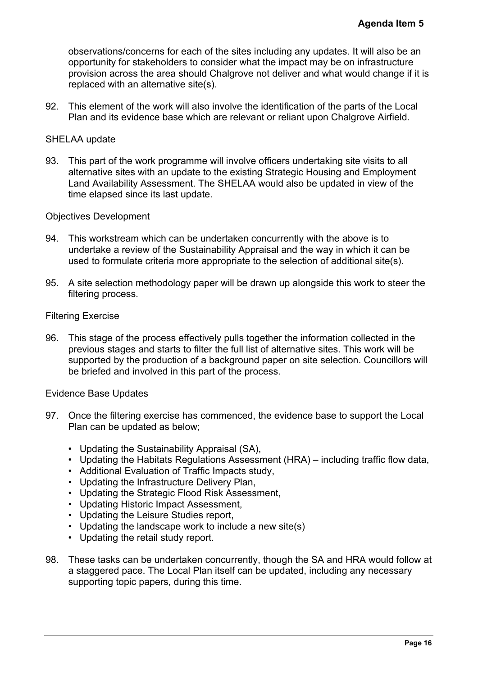observations/concerns for each of the sites including any updates. It will also be an opportunity for stakeholders to consider what the impact may be on infrastructure provision across the area should Chalgrove not deliver and what would change if it is replaced with an alternative site(s). Agenda Item 5<br>
will also be an<br>
infrastructure<br>
uld change if it is<br>
ts of the Local<br>
rove Airfield.<br>
a visits to all<br>
al Employment<br>
in view of the<br>
we is to<br>
ich it can be<br>
we is to<br>
ich it can be<br>
we is to<br>
ich it can b

92. This element of the work will also involve the identification of the parts of the Local Plan and its evidence base which are relevant or reliant upon Chalgrove Airfield.

#### SHELAA update

93. This part of the work programme will involve officers undertaking site visits to all alternative sites with an update to the existing Strategic Housing and Employment Land Availability Assessment. The SHELAA would also be updated in view of the time elapsed since its last update.

#### Objectives Development

- 94. This workstream which can be undertaken concurrently with the above is to undertake a review of the Sustainability Appraisal and the way in which it can be used to formulate criteria more appropriate to the selection of additional site(s).
- 95. A site selection methodology paper will be drawn up alongside this work to steer the filtering process.

#### Filtering Exercise

96. This stage of the process effectively pulls together the information collected in the previous stages and starts to filter the full list of alternative sites. This work will be supported by the production of a background paper on site selection. Councillors will be briefed and involved in this part of the process.

#### Evidence Base Updates

- 97. Once the filtering exercise has commenced, the evidence base to support the Local Plan can be updated as below;
	- Updating the Sustainability Appraisal (SA),
	- Updating the Habitats Regulations Assessment (HRA) including traffic flow data,
	- Additional Evaluation of Traffic Impacts study,
	- Updating the Infrastructure Delivery Plan,
	- Updating the Strategic Flood Risk Assessment,
	- Updating Historic Impact Assessment,
	- Updating the Leisure Studies report,
	- Updating the landscape work to include a new site(s)
	- Updating the retail study report.
- 98. These tasks can be undertaken concurrently, though the SA and HRA would follow at a staggered pace. The Local Plan itself can be updated, including any necessary supporting topic papers, during this time.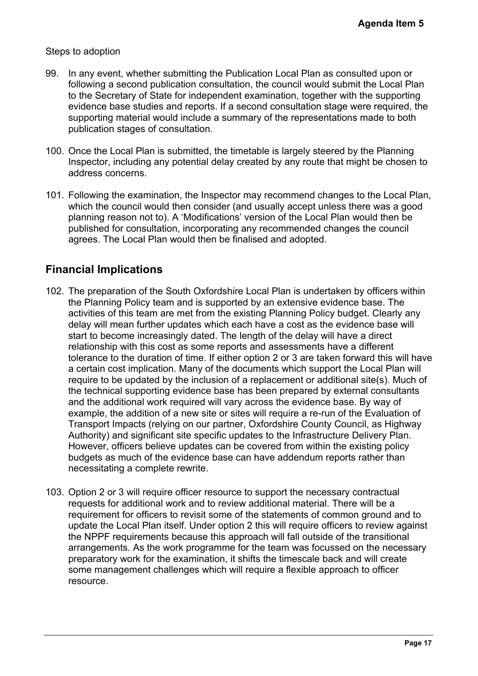#### Steps to adoption

- 99. In any event, whether submitting the Publication Local Plan as consulted upon or following a second publication consultation, the council would submit the Local Plan to the Secretary of State for independent examination, together with the supporting evidence base studies and reports. If a second consultation stage were required, the supporting material would include a summary of the representations made to both publication stages of consultation.
- 100. Once the Local Plan is submitted, the timetable is largely steered by the Planning Inspector, including any potential delay created by any route that might be chosen to address concerns.
- 101. Following the examination, the Inspector may recommend changes to the Local Plan, which the council would then consider (and usually accept unless there was a good planning reason not to). A 'Modifications' version of the Local Plan would then be published for consultation, incorporating any recommended changes the council agrees. The Local Plan would then be finalised and adopted.

## **Financial Implications**

- 102. The preparation of the South Oxfordshire Local Plan is undertaken by officers within the Planning Policy team and is supported by an extensive evidence base. The activities of this team are met from the existing Planning Policy budget. Clearly any delay will mean further updates which each have a cost as the evidence base will start to become increasingly dated. The length of the delay will have a direct relationship with this cost as some reports and assessments have a different tolerance to the duration of time. If either option 2 or 3 are taken forward this will have a certain cost implication. Many of the documents which support the Local Plan will require to be updated by the inclusion of a replacement or additional site(s). Much of the technical supporting evidence base has been prepared by external consultants and the additional work required will vary across the evidence base. By way of example, the addition of a new site or sites will require a re-run of the Evaluation of Transport Impacts (relying on our partner, Oxfordshire County Council, as Highway Authority) and significant site specific updates to the Infrastructure Delivery Plan. However, officers believe updates can be covered from within the existing policy budgets as much of the evidence base can have addendum reports rather than necessitating a complete rewrite. Agenda Item 5<br>
ulted upon or<br>
t the Local Plan<br>
the supporting<br>
ere required, the<br>
made to both<br>
the Planning<br>
ght be chosen to<br>
to the Local Plan,<br>
ere was a good<br>
yould then be<br>
s the council<br>
s the council<br>
by officers
- 103. Option 2 or 3 will require officer resource to support the necessary contractual requests for additional work and to review additional material. There will be a requirement for officers to revisit some of the statements of common ground and to update the Local Plan itself. Under option 2 this will require officers to review against the NPPF requirements because this approach will fall outside of the transitional arrangements. As the work programme for the team was focussed on the necessary preparatory work for the examination, it shifts the timescale back and will create some management challenges which will require a flexible approach to officer resource.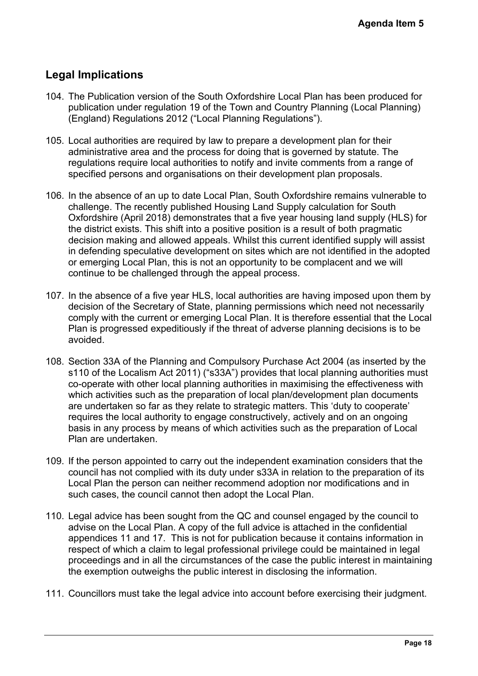# **Legal Implications**

- 104. The Publication version of the South Oxfordshire Local Plan has been produced for publication under regulation 19 of the Town and Country Planning (Local Planning) (England) Regulations 2012 ("Local Planning Regulations").
- 105. Local authorities are required by law to prepare a development plan for their administrative area and the process for doing that is governed by statute. The regulations require local authorities to notify and invite comments from a range of specified persons and organisations on their development plan proposals.
- 106. In the absence of an up to date Local Plan, South Oxfordshire remains vulnerable to challenge. The recently published Housing Land Supply calculation for South Oxfordshire (April 2018) demonstrates that a five year housing land supply (HLS) for the district exists. This shift into a positive position is a result of both pragmatic decision making and allowed appeals. Whilst this current identified supply will assist in defending speculative development on sites which are not identified in the adopted or emerging Local Plan, this is not an opportunity to be complacent and we will continue to be challenged through the appeal process. Agenda Item 5<br>
en produced for<br>
ocal Planning)<br>
for their<br>
stute. The<br>
ma range of<br>
osals.<br>
ins vulnerable to<br>
for South<br>
supply (HLS) for<br>
pragmatic<br>
upply will assist<br>
ed in the adopted<br>
and we will<br>
leed upon them by<br>
n
- 107. In the absence of a five year HLS, local authorities are having imposed upon them by decision of the Secretary of State, planning permissions which need not necessarily comply with the current or emerging Local Plan. It is therefore essential that the Local Plan is progressed expeditiously if the threat of adverse planning decisions is to be avoided.
- 108. Section 33A of the Planning and Compulsory Purchase Act 2004 (as inserted by the s110 of the Localism Act 2011) ("s33A") provides that local planning authorities must co-operate with other local planning authorities in maximising the effectiveness with which activities such as the preparation of local plan/development plan documents are undertaken so far as they relate to strategic matters. This 'duty to cooperate' requires the local authority to engage constructively, actively and on an ongoing basis in any process by means of which activities such as the preparation of Local Plan are undertaken.
- 109. If the person appointed to carry out the independent examination considers that the council has not complied with its duty under s33A in relation to the preparation of its Local Plan the person can neither recommend adoption nor modifications and in such cases, the council cannot then adopt the Local Plan.
- 110. Legal advice has been sought from the QC and counsel engaged by the council to advise on the Local Plan. A copy of the full advice is attached in the confidential appendices 11 and 17. This is not for publication because it contains information in respect of which a claim to legal professional privilege could be maintained in legal proceedings and in all the circumstances of the case the public interest in maintaining the exemption outweighs the public interest in disclosing the information.
- 111. Councillors must take the legal advice into account before exercising their judgment.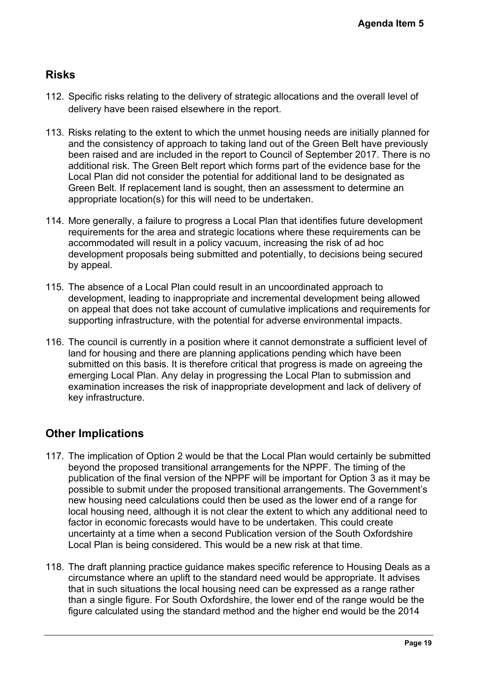# **Risks**

- 112. Specific risks relating to the delivery of strategic allocations and the overall level of delivery have been raised elsewhere in the report.
- 113. Risks relating to the extent to which the unmet housing needs are initially planned for and the consistency of approach to taking land out of the Green Belt have previously been raised and are included in the report to Council of September 2017. There is no additional risk. The Green Belt report which forms part of the evidence base for the Local Plan did not consider the potential for additional land to be designated as Green Belt. If replacement land is sought, then an assessment to determine an appropriate location(s) for this will need to be undertaken.
- 114. More generally, a failure to progress a Local Plan that identifies future development requirements for the area and strategic locations where these requirements can be accommodated will result in a policy vacuum, increasing the risk of ad hoc development proposals being submitted and potentially, to decisions being secured by appeal.
- 115. The absence of a Local Plan could result in an uncoordinated approach to development, leading to inappropriate and incremental development being allowed on appeal that does not take account of cumulative implications and requirements for supporting infrastructure, with the potential for adverse environmental impacts.
- 116. The council is currently in a position where it cannot demonstrate a sufficient level of land for housing and there are planning applications pending which have been submitted on this basis. It is therefore critical that progress is made on agreeing the emerging Local Plan. Any delay in progressing the Local Plan to submission and examination increases the risk of inappropriate development and lack of delivery of key infrastructure.

# **Other Implications**

- 117. The implication of Option 2 would be that the Local Plan would certainly be submitted beyond the proposed transitional arrangements for the NPPF. The timing of the publication of the final version of the NPPF will be important for Option 3 as it may be possible to submit under the proposed transitional arrangements. The Government's new housing need calculations could then be used as the lower end of a range for local housing need, although it is not clear the extent to which any additional need to factor in economic forecasts would have to be undertaken. This could create uncertainty at a time when a second Publication version of the South Oxfordshire Local Plan is being considered. This would be a new risk at that time. Agenda Item 5<br>
overall level of<br>
itially planned for<br>
2017. There is no<br>
cce base for the<br>
signated as<br>
termine an<br>
re development<br>
ements can be<br>
ad hoc<br>
sheing secured<br>
ach to<br>
being allowed<br>
requirements for<br>
ad hoc<br>
re
- 118. The draft planning practice guidance makes specific reference to Housing Deals as a circumstance where an uplift to the standard need would be appropriate. It advises that in such situations the local housing need can be expressed as a range rather than a single figure. For South Oxfordshire, the lower end of the range would be the figure calculated using the standard method and the higher end would be the 2014